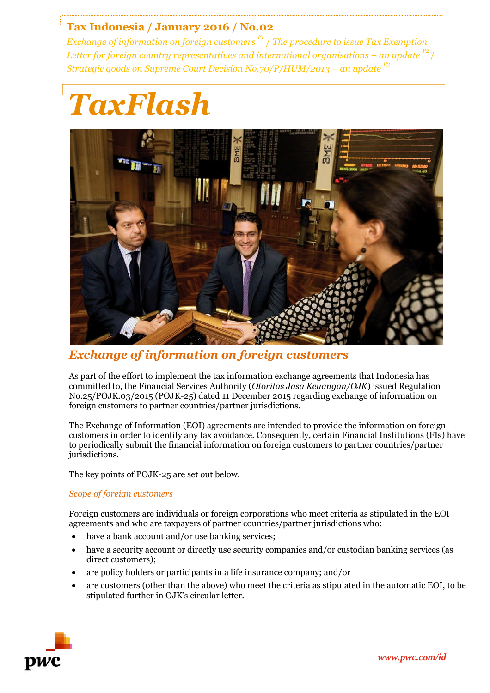# **Tax Indonesia / January 2016 / No.02**

*Exchange of information on foreign customers P1* / *The procedure to issue Tax Exemption Letter for foreign country representatives and international organisations – an update P2* / *Strategic goods on Supreme Court Decision No.70/P/HUM/2013 – an update P3*

# *TaxFlash*



*Exchange of information on foreign customers*

As part of the effort to implement the tax information exchange agreements that Indonesia has committed to, the Financial Services Authority (*Otoritas Jasa Keuangan/OJK*) issued Regulation No.25/POJK.03/2015 (POJK-25) dated 11 December 2015 regarding exchange of information on foreign customers to partner countries/partner jurisdictions.

The Exchange of Information (EOI) agreements are intended to provide the information on foreign customers in order to identify any tax avoidance. Consequently, certain Financial Institutions (FIs) have to periodically submit the financial information on foreign customers to partner countries/partner jurisdictions.

The key points of POJK-25 are set out below.

## *Scope of foreign customers*

Foreign customers are individuals or foreign corporations who meet criteria as stipulated in the EOI agreements and who are taxpayers of partner countries/partner jurisdictions who:

- have a bank account and/or use banking services;
- have a security account or directly use security companies and/or custodian banking services (as direct customers);
- are policy holders or participants in a life insurance company; and/or
- are customers (other than the above) who meet the criteria as stipulated in the automatic EOI, to be stipulated further in OJK's circular letter.

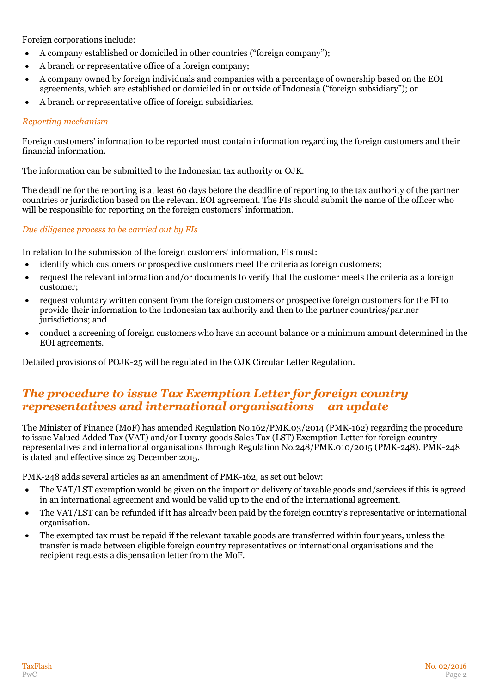Foreign corporations include:

- A company established or domiciled in other countries ("foreign company");
- A branch or representative office of a foreign company;
- A company owned by foreign individuals and companies with a percentage of ownership based on the EOI agreements, which are established or domiciled in or outside of Indonesia ("foreign subsidiary"); or
- A branch or representative office of foreign subsidiaries.

#### *Reporting mechanism*

Foreign customers' information to be reported must contain information regarding the foreign customers and their financial information.

The information can be submitted to the Indonesian tax authority or OJK.

The deadline for the reporting is at least 60 days before the deadline of reporting to the tax authority of the partner countries or jurisdiction based on the relevant EOI agreement. The FIs should submit the name of the officer who will be responsible for reporting on the foreign customers' information.

#### *Due diligence process to be carried out by FIs*

In relation to the submission of the foreign customers' information, FIs must:

- identify which customers or prospective customers meet the criteria as foreign customers;
- request the relevant information and/or documents to verify that the customer meets the criteria as a foreign customer;
- request voluntary written consent from the foreign customers or prospective foreign customers for the FI to provide their information to the Indonesian tax authority and then to the partner countries/partner jurisdictions; and
- conduct a screening of foreign customers who have an account balance or a minimum amount determined in the EOI agreements.

Detailed provisions of POJK-25 will be regulated in the OJK Circular Letter Regulation.

## *The procedure to issue Tax Exemption Letter for foreign country representatives and international organisations – an update*

The Minister of Finance (MoF) has amended Regulation No.162/PMK.03/2014 (PMK-162) regarding the procedure to issue Valued Added Tax (VAT) and/or Luxury-goods Sales Tax (LST) Exemption Letter for foreign country representatives and international organisations through Regulation No.248/PMK.010/2015 (PMK-248). PMK-248 is dated and effective since 29 December 2015.

PMK-248 adds several articles as an amendment of PMK-162, as set out below:

- The VAT/LST exemption would be given on the import or delivery of taxable goods and/services if this is agreed in an international agreement and would be valid up to the end of the international agreement.
- The VAT/LST can be refunded if it has already been paid by the foreign country's representative or international organisation.
- The exempted tax must be repaid if the relevant taxable goods are transferred within four years, unless the transfer is made between eligible foreign country representatives or international organisations and the recipient requests a dispensation letter from the MoF.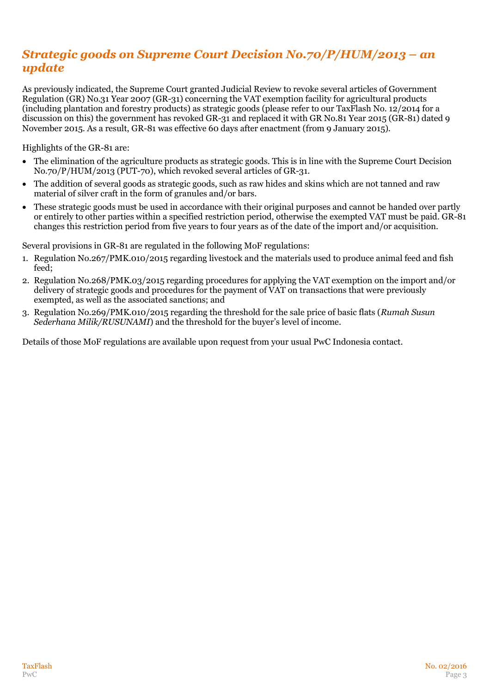# *Strategic goods on Supreme Court Decision No.70/P/HUM/2013 – an update*

As previously indicated, the Supreme Court granted Judicial Review to revoke several articles of Government Regulation (GR) No.31 Year 2007 (GR-31) concerning the VAT exemption facility for agricultural products (including plantation and forestry products) as strategic goods (please refer to our TaxFlash No. 12/2014 for a discussion on this) the government has revoked GR-31 and replaced it with GR No.81 Year 2015 (GR-81) dated 9 November 2015. As a result, GR-81 was effective 60 days after enactment (from 9 January 2015).

Highlights of the GR-81 are:

- The elimination of the agriculture products as strategic goods. This is in line with the Supreme Court Decision No.70/P/HUM/2013 (PUT-70), which revoked several articles of GR-31.
- The addition of several goods as strategic goods, such as raw hides and skins which are not tanned and raw material of silver craft in the form of granules and/or bars.
- These strategic goods must be used in accordance with their original purposes and cannot be handed over partly or entirely to other parties within a specified restriction period, otherwise the exempted VAT must be paid. GR-81 changes this restriction period from five years to four years as of the date of the import and/or acquisition.

Several provisions in GR-81 are regulated in the following MoF regulations:

- 1. Regulation No.267/PMK.010/2015 regarding livestock and the materials used to produce animal feed and fish feed;
- 2. Regulation No.268/PMK.03/2015 regarding procedures for applying the VAT exemption on the import and/or delivery of strategic goods and procedures for the payment of VAT on transactions that were previously exempted, as well as the associated sanctions; and
- 3. Regulation No.269/PMK.010/2015 regarding the threshold for the sale price of basic flats (*Rumah Susun Sederhana Milik/RUSUNAMI*) and the threshold for the buyer's level of income.

Details of those MoF regulations are available upon request from your usual PwC Indonesia contact.